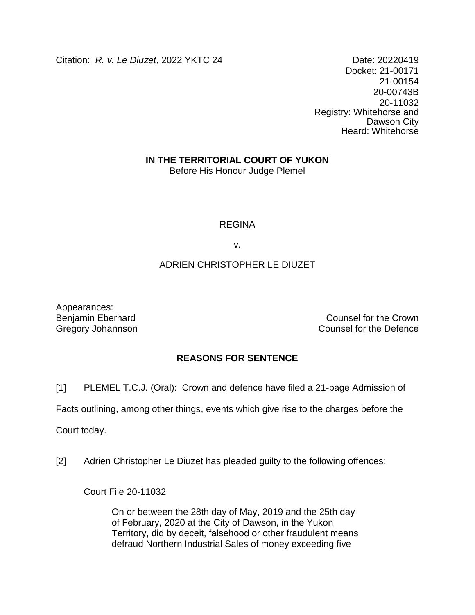Citation: *R. v. Le Diuzet*, 2022 YKTC 24 Date: 20220419

Docket: 21-00171 21-00154 20-00743B 20-11032 Registry: Whitehorse and Dawson City Heard: Whitehorse

## **IN THE TERRITORIAL COURT OF YUKON**

Before His Honour Judge Plemel

### REGINA

v.

## ADRIEN CHRISTOPHER LE DIUZET

Appearances:

Benjamin Eberhard **Counsel for the Crown** Gregory Johannson **Counsel for the Defence** 

# **REASONS FOR SENTENCE**

[1] PLEMEL T.C.J. (Oral): Crown and defence have filed a 21-page Admission of

Facts outlining, among other things, events which give rise to the charges before the

Court today.

[2] Adrien Christopher Le Diuzet has pleaded guilty to the following offences:

Court File 20-11032

On or between the 28th day of May, 2019 and the 25th day of February, 2020 at the City of Dawson, in the Yukon Territory, did by deceit, falsehood or other fraudulent means defraud Northern Industrial Sales of money exceeding five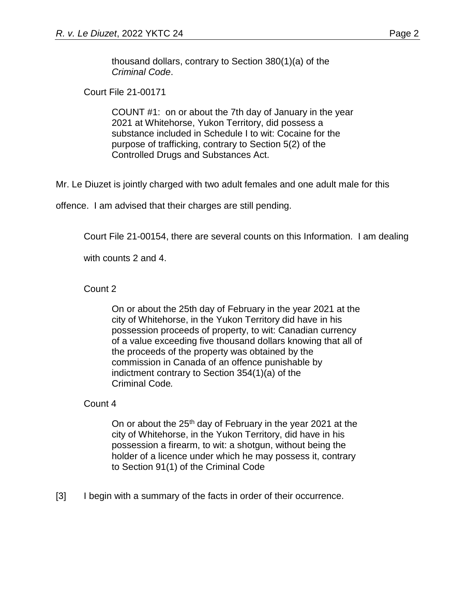thousand dollars, contrary to Section 380(1)(a) of the *Criminal Code*.

Court File 21-00171

COUNT #1: on or about the 7th day of January in the year 2021 at Whitehorse, Yukon Territory, did possess a substance included in Schedule I to wit: Cocaine for the purpose of trafficking, contrary to Section 5(2) of the Controlled Drugs and Substances Act.

Mr. Le Diuzet is jointly charged with two adult females and one adult male for this

offence. I am advised that their charges are still pending.

Court File 21-00154, there are several counts on this Information. I am dealing

with counts 2 and 4.

Count 2

On or about the 25th day of February in the year 2021 at the city of Whitehorse, in the Yukon Territory did have in his possession proceeds of property, to wit: Canadian currency of a value exceeding five thousand dollars knowing that all of the proceeds of the property was obtained by the commission in Canada of an offence punishable by indictment contrary to Section 354(1)(a) of the Criminal Code*.*

Count 4

On or about the  $25<sup>th</sup>$  day of February in the year 2021 at the city of Whitehorse, in the Yukon Territory, did have in his possession a firearm, to wit: a shotgun, without being the holder of a licence under which he may possess it, contrary to Section 91(1) of the Criminal Code

[3] I begin with a summary of the facts in order of their occurrence.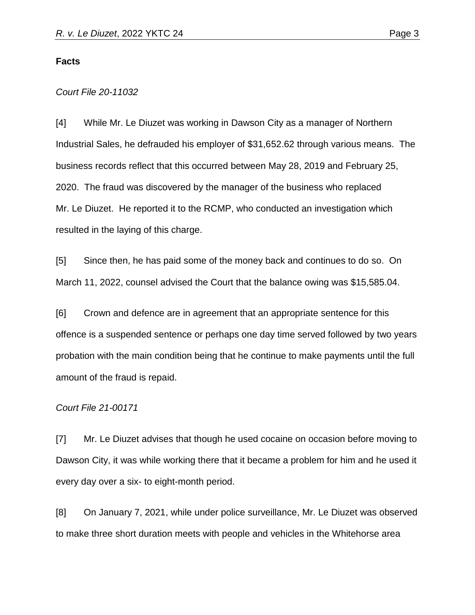### **Facts**

#### *Court File 20-11032*

[4] While Mr. Le Diuzet was working in Dawson City as a manager of Northern Industrial Sales, he defrauded his employer of \$31,652.62 through various means. The business records reflect that this occurred between May 28, 2019 and February 25, 2020. The fraud was discovered by the manager of the business who replaced Mr. Le Diuzet. He reported it to the RCMP, who conducted an investigation which resulted in the laying of this charge.

[5] Since then, he has paid some of the money back and continues to do so. On March 11, 2022, counsel advised the Court that the balance owing was \$15,585.04.

[6] Crown and defence are in agreement that an appropriate sentence for this offence is a suspended sentence or perhaps one day time served followed by two years probation with the main condition being that he continue to make payments until the full amount of the fraud is repaid.

### *Court File 21-00171*

[7] Mr. Le Diuzet advises that though he used cocaine on occasion before moving to Dawson City, it was while working there that it became a problem for him and he used it every day over a six- to eight-month period.

[8] On January 7, 2021, while under police surveillance, Mr. Le Diuzet was observed to make three short duration meets with people and vehicles in the Whitehorse area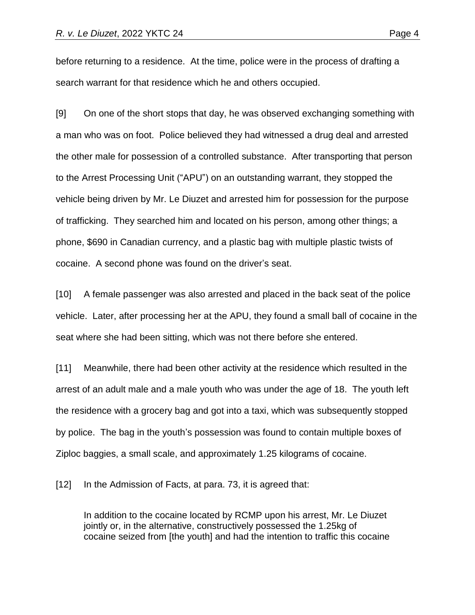before returning to a residence. At the time, police were in the process of drafting a search warrant for that residence which he and others occupied.

[9] On one of the short stops that day, he was observed exchanging something with a man who was on foot. Police believed they had witnessed a drug deal and arrested the other male for possession of a controlled substance. After transporting that person to the Arrest Processing Unit ("APU") on an outstanding warrant, they stopped the vehicle being driven by Mr. Le Diuzet and arrested him for possession for the purpose of trafficking. They searched him and located on his person, among other things; a phone, \$690 in Canadian currency, and a plastic bag with multiple plastic twists of cocaine. A second phone was found on the driver's seat.

[10] A female passenger was also arrested and placed in the back seat of the police vehicle. Later, after processing her at the APU, they found a small ball of cocaine in the seat where she had been sitting, which was not there before she entered.

[11] Meanwhile, there had been other activity at the residence which resulted in the arrest of an adult male and a male youth who was under the age of 18. The youth left the residence with a grocery bag and got into a taxi, which was subsequently stopped by police. The bag in the youth's possession was found to contain multiple boxes of Ziploc baggies, a small scale, and approximately 1.25 kilograms of cocaine.

[12] In the Admission of Facts, at para. 73, it is agreed that:

In addition to the cocaine located by RCMP upon his arrest, Mr. Le Diuzet jointly or, in the alternative, constructively possessed the 1.25kg of cocaine seized from [the youth] and had the intention to traffic this cocaine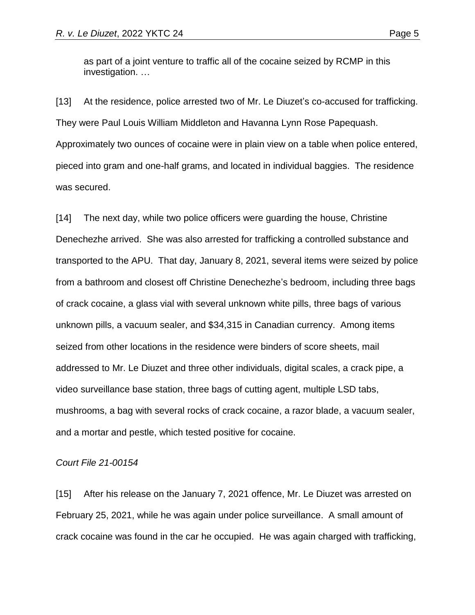as part of a joint venture to traffic all of the cocaine seized by RCMP in this investigation. …

[13] At the residence, police arrested two of Mr. Le Diuzet's co-accused for trafficking. They were Paul Louis William Middleton and Havanna Lynn Rose Papequash. Approximately two ounces of cocaine were in plain view on a table when police entered, pieced into gram and one-half grams, and located in individual baggies. The residence was secured.

[14] The next day, while two police officers were guarding the house, Christine Denechezhe arrived. She was also arrested for trafficking a controlled substance and transported to the APU. That day, January 8, 2021, several items were seized by police from a bathroom and closest off Christine Denechezhe's bedroom, including three bags of crack cocaine, a glass vial with several unknown white pills, three bags of various unknown pills, a vacuum sealer, and \$34,315 in Canadian currency. Among items seized from other locations in the residence were binders of score sheets, mail addressed to Mr. Le Diuzet and three other individuals, digital scales, a crack pipe, a video surveillance base station, three bags of cutting agent, multiple LSD tabs, mushrooms, a bag with several rocks of crack cocaine, a razor blade, a vacuum sealer, and a mortar and pestle, which tested positive for cocaine.

### *Court File 21-00154*

[15] After his release on the January 7, 2021 offence, Mr. Le Diuzet was arrested on February 25, 2021, while he was again under police surveillance. A small amount of crack cocaine was found in the car he occupied. He was again charged with trafficking,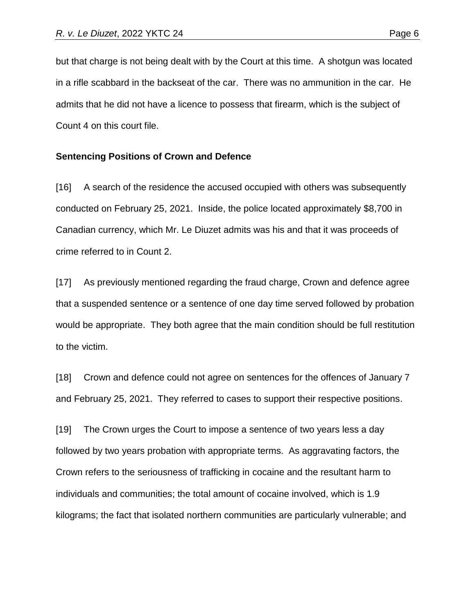but that charge is not being dealt with by the Court at this time. A shotgun was located in a rifle scabbard in the backseat of the car. There was no ammunition in the car. He admits that he did not have a licence to possess that firearm, which is the subject of Count 4 on this court file.

#### **Sentencing Positions of Crown and Defence**

[16] A search of the residence the accused occupied with others was subsequently conducted on February 25, 2021. Inside, the police located approximately \$8,700 in Canadian currency, which Mr. Le Diuzet admits was his and that it was proceeds of crime referred to in Count 2.

[17] As previously mentioned regarding the fraud charge, Crown and defence agree that a suspended sentence or a sentence of one day time served followed by probation would be appropriate. They both agree that the main condition should be full restitution to the victim.

[18] Crown and defence could not agree on sentences for the offences of January 7 and February 25, 2021. They referred to cases to support their respective positions.

[19] The Crown urges the Court to impose a sentence of two years less a day followed by two years probation with appropriate terms. As aggravating factors, the Crown refers to the seriousness of trafficking in cocaine and the resultant harm to individuals and communities; the total amount of cocaine involved, which is 1.9 kilograms; the fact that isolated northern communities are particularly vulnerable; and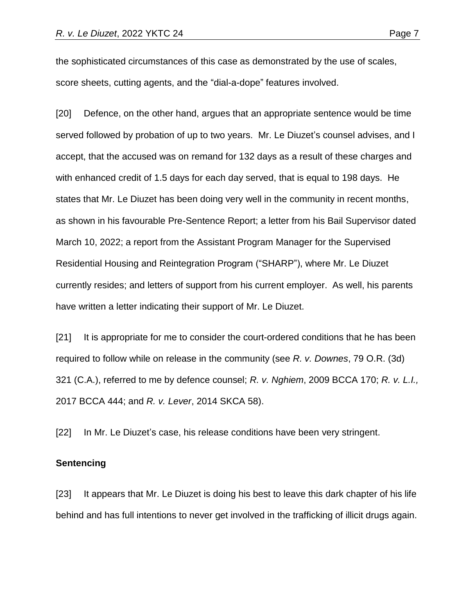the sophisticated circumstances of this case as demonstrated by the use of scales, score sheets, cutting agents, and the "dial-a-dope" features involved.

[20] Defence, on the other hand, argues that an appropriate sentence would be time served followed by probation of up to two years. Mr. Le Diuzet's counsel advises, and I accept, that the accused was on remand for 132 days as a result of these charges and with enhanced credit of 1.5 days for each day served, that is equal to 198 days. He states that Mr. Le Diuzet has been doing very well in the community in recent months, as shown in his favourable Pre-Sentence Report; a letter from his Bail Supervisor dated March 10, 2022; a report from the Assistant Program Manager for the Supervised Residential Housing and Reintegration Program ("SHARP"), where Mr. Le Diuzet currently resides; and letters of support from his current employer. As well, his parents have written a letter indicating their support of Mr. Le Diuzet.

[21] It is appropriate for me to consider the court-ordered conditions that he has been required to follow while on release in the community (see *R. v. Downes*, 79 O.R. (3d) 321 (C.A.), referred to me by defence counsel; *R. v. Nghiem*, 2009 BCCA 170; *R. v. L.I.,* 2017 BCCA 444; and *R. v. Lever*, 2014 SKCA 58).

[22] In Mr. Le Diuzet's case, his release conditions have been very stringent.

#### **Sentencing**

[23] It appears that Mr. Le Diuzet is doing his best to leave this dark chapter of his life behind and has full intentions to never get involved in the trafficking of illicit drugs again.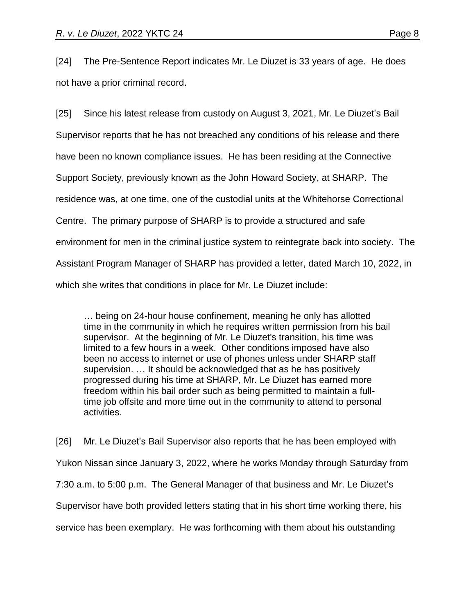[24] The Pre-Sentence Report indicates Mr. Le Diuzet is 33 years of age. He does not have a prior criminal record.

[25] Since his latest release from custody on August 3, 2021, Mr. Le Diuzet's Bail Supervisor reports that he has not breached any conditions of his release and there have been no known compliance issues. He has been residing at the Connective Support Society, previously known as the John Howard Society, at SHARP. The residence was, at one time, one of the custodial units at the Whitehorse Correctional Centre. The primary purpose of SHARP is to provide a structured and safe environment for men in the criminal justice system to reintegrate back into society. The Assistant Program Manager of SHARP has provided a letter, dated March 10, 2022, in which she writes that conditions in place for Mr. Le Diuzet include:

… being on 24-hour house confinement, meaning he only has allotted time in the community in which he requires written permission from his bail supervisor. At the beginning of Mr. Le Diuzet's transition, his time was limited to a few hours in a week. Other conditions imposed have also been no access to internet or use of phones unless under SHARP staff supervision. … It should be acknowledged that as he has positively progressed during his time at SHARP, Mr. Le Diuzet has earned more freedom within his bail order such as being permitted to maintain a fulltime job offsite and more time out in the community to attend to personal activities.

[26] Mr. Le Diuzet's Bail Supervisor also reports that he has been employed with Yukon Nissan since January 3, 2022, where he works Monday through Saturday from 7:30 a.m. to 5:00 p.m. The General Manager of that business and Mr. Le Diuzet's Supervisor have both provided letters stating that in his short time working there, his service has been exemplary. He was forthcoming with them about his outstanding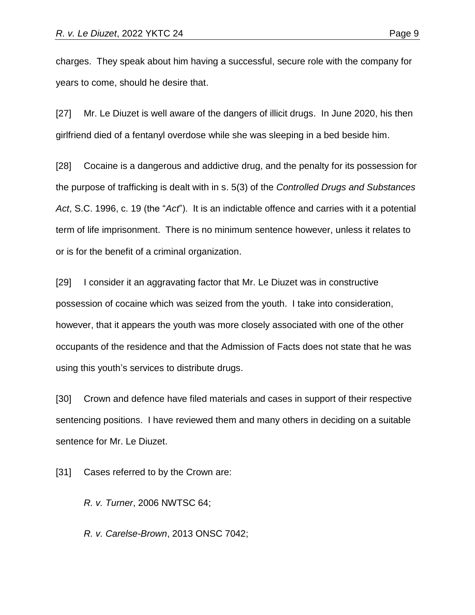charges. They speak about him having a successful, secure role with the company for years to come, should he desire that.

[27] Mr. Le Diuzet is well aware of the dangers of illicit drugs. In June 2020, his then girlfriend died of a fentanyl overdose while she was sleeping in a bed beside him.

[28] Cocaine is a dangerous and addictive drug, and the penalty for its possession for the purpose of trafficking is dealt with in s. 5(3) of the *Controlled Drugs and Substances Act*, S.C. 1996, c. 19 (the "*Act*"). It is an indictable offence and carries with it a potential term of life imprisonment. There is no minimum sentence however, unless it relates to or is for the benefit of a criminal organization.

[29] I consider it an aggravating factor that Mr. Le Diuzet was in constructive possession of cocaine which was seized from the youth. I take into consideration, however, that it appears the youth was more closely associated with one of the other occupants of the residence and that the Admission of Facts does not state that he was using this youth's services to distribute drugs.

[30] Crown and defence have filed materials and cases in support of their respective sentencing positions. I have reviewed them and many others in deciding on a suitable sentence for Mr. Le Diuzet.

[31] Cases referred to by the Crown are:

*R. v. Turner*, 2006 NWTSC 64;

*R. v. Carelse-Brown*, 2013 ONSC 7042;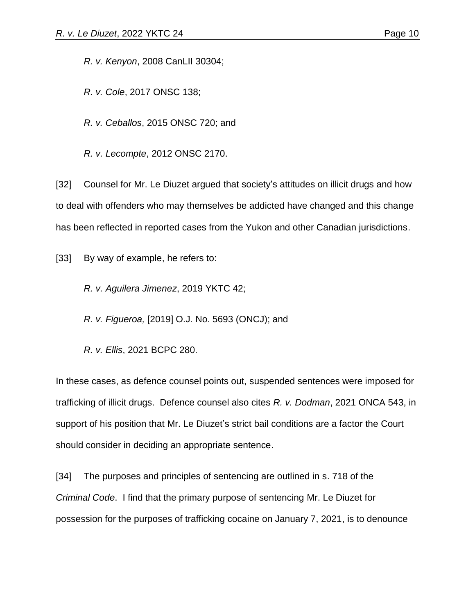*R. v. Kenyon*, 2008 CanLII 30304;

*R. v. Cole*, 2017 ONSC 138;

*R. v. Ceballos*, 2015 ONSC 720; and

*R. v. Lecompte*, 2012 ONSC 2170.

[32] Counsel for Mr. Le Diuzet argued that society's attitudes on illicit drugs and how to deal with offenders who may themselves be addicted have changed and this change has been reflected in reported cases from the Yukon and other Canadian jurisdictions.

[33] By way of example, he refers to:

*R. v. Aguilera Jimenez*, 2019 YKTC 42;

*R. v. Figueroa,* [2019] O.J. No. 5693 (ONCJ); and

*R. v. Ellis*, 2021 BCPC 280.

In these cases, as defence counsel points out, suspended sentences were imposed for trafficking of illicit drugs. Defence counsel also cites *R. v. Dodman*, 2021 ONCA 543, in support of his position that Mr. Le Diuzet's strict bail conditions are a factor the Court should consider in deciding an appropriate sentence.

[34] The purposes and principles of sentencing are outlined in s. 718 of the *Criminal Code*. I find that the primary purpose of sentencing Mr. Le Diuzet for possession for the purposes of trafficking cocaine on January 7, 2021, is to denounce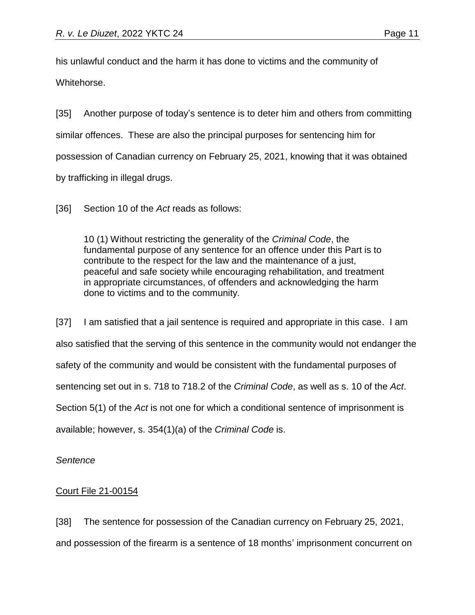his unlawful conduct and the harm it has done to victims and the community of

Whitehorse.

[35] Another purpose of today's sentence is to deter him and others from committing similar offences. These are also the principal purposes for sentencing him for possession of Canadian currency on February 25, 2021, knowing that it was obtained by trafficking in illegal drugs.

[36] Section 10 of the *Act* reads as follows:

10 (1) Without restricting the generality of the *Criminal Code*, the fundamental purpose of any sentence for an offence under this Part is to contribute to the respect for the law and the maintenance of a just, peaceful and safe society while encouraging rehabilitation, and treatment in appropriate circumstances, of offenders and acknowledging the harm done to victims and to the community.

[37] I am satisfied that a jail sentence is required and appropriate in this case. I am also satisfied that the serving of this sentence in the community would not endanger the safety of the community and would be consistent with the fundamental purposes of sentencing set out in s. 718 to 718.2 of the *Criminal Code*, as well as s. 10 of the *Act*. Section 5(1) of the *Act* is not one for which a conditional sentence of imprisonment is available; however, s. 354(1)(a) of the *Criminal Code* is.

*Sentence*

## Court File 21-00154

[38] The sentence for possession of the Canadian currency on February 25, 2021, and possession of the firearm is a sentence of 18 months' imprisonment concurrent on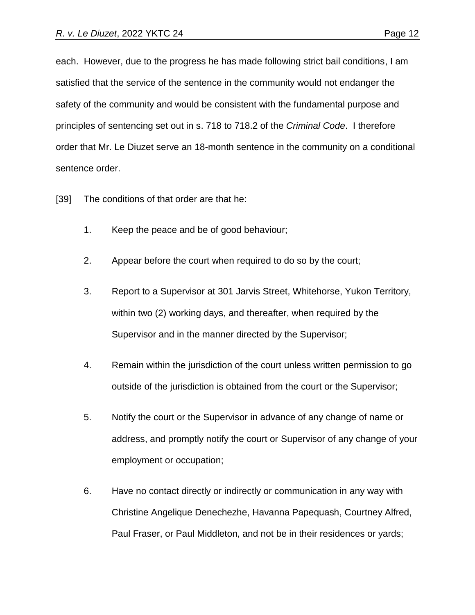each. However, due to the progress he has made following strict bail conditions, I am satisfied that the service of the sentence in the community would not endanger the safety of the community and would be consistent with the fundamental purpose and principles of sentencing set out in s. 718 to 718.2 of the *Criminal Code*. I therefore order that Mr. Le Diuzet serve an 18-month sentence in the community on a conditional sentence order.

- [39] The conditions of that order are that he:
	- 1. Keep the peace and be of good behaviour;
	- 2. Appear before the court when required to do so by the court;
	- 3. Report to a Supervisor at 301 Jarvis Street, Whitehorse, Yukon Territory, within two (2) working days, and thereafter, when required by the Supervisor and in the manner directed by the Supervisor;
	- 4. Remain within the jurisdiction of the court unless written permission to go outside of the jurisdiction is obtained from the court or the Supervisor;
	- 5. Notify the court or the Supervisor in advance of any change of name or address, and promptly notify the court or Supervisor of any change of your employment or occupation;
	- 6. Have no contact directly or indirectly or communication in any way with Christine Angelique Denechezhe, Havanna Papequash, Courtney Alfred, Paul Fraser, or Paul Middleton, and not be in their residences or yards;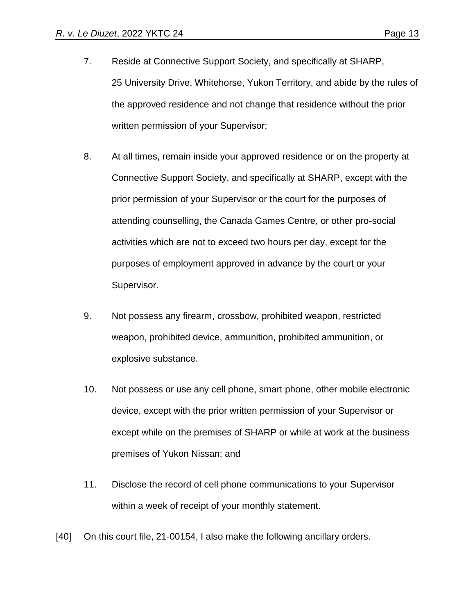- 7. Reside at Connective Support Society, and specifically at SHARP, 25 University Drive, Whitehorse, Yukon Territory, and abide by the rules of the approved residence and not change that residence without the prior written permission of your Supervisor;
- 8. At all times, remain inside your approved residence or on the property at Connective Support Society, and specifically at SHARP, except with the prior permission of your Supervisor or the court for the purposes of attending counselling, the Canada Games Centre, or other pro-social activities which are not to exceed two hours per day, except for the purposes of employment approved in advance by the court or your Supervisor.
- 9. Not possess any firearm, crossbow, prohibited weapon, restricted weapon, prohibited device, ammunition, prohibited ammunition, or explosive substance.
- 10. Not possess or use any cell phone, smart phone, other mobile electronic device, except with the prior written permission of your Supervisor or except while on the premises of SHARP or while at work at the business premises of Yukon Nissan; and
- 11. Disclose the record of cell phone communications to your Supervisor within a week of receipt of your monthly statement.
- [40] On this court file, 21-00154, I also make the following ancillary orders.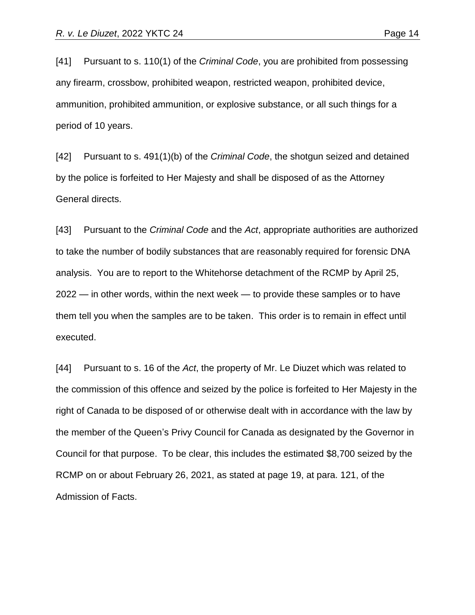[41] Pursuant to s. 110(1) of the *Criminal Code*, you are prohibited from possessing any firearm, crossbow, prohibited weapon, restricted weapon, prohibited device, ammunition, prohibited ammunition, or explosive substance, or all such things for a period of 10 years.

[42] Pursuant to s. 491(1)(b) of the *Criminal Code*, the shotgun seized and detained by the police is forfeited to Her Majesty and shall be disposed of as the Attorney General directs.

[43] Pursuant to the *Criminal Code* and the *Act*, appropriate authorities are authorized to take the number of bodily substances that are reasonably required for forensic DNA analysis. You are to report to the Whitehorse detachment of the RCMP by April 25, 2022 — in other words, within the next week — to provide these samples or to have them tell you when the samples are to be taken. This order is to remain in effect until executed.

[44] Pursuant to s. 16 of the *Act*, the property of Mr. Le Diuzet which was related to the commission of this offence and seized by the police is forfeited to Her Majesty in the right of Canada to be disposed of or otherwise dealt with in accordance with the law by the member of the Queen's Privy Council for Canada as designated by the Governor in Council for that purpose. To be clear, this includes the estimated \$8,700 seized by the RCMP on or about February 26, 2021, as stated at page 19, at para. 121, of the Admission of Facts.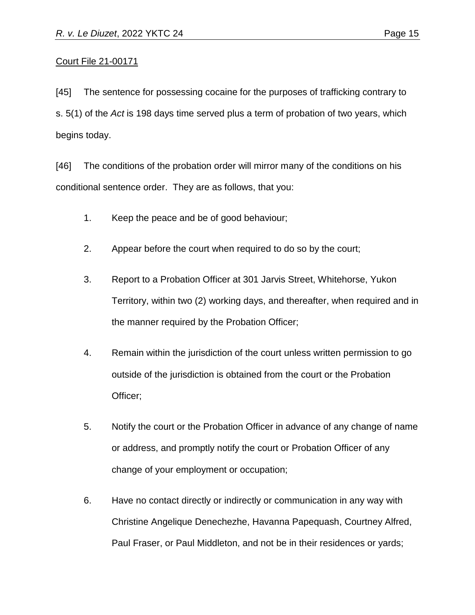## Court File 21-00171

[45] The sentence for possessing cocaine for the purposes of trafficking contrary to s. 5(1) of the *Act* is 198 days time served plus a term of probation of two years, which begins today.

[46] The conditions of the probation order will mirror many of the conditions on his conditional sentence order. They are as follows, that you:

- 1. Keep the peace and be of good behaviour;
- 2. Appear before the court when required to do so by the court;
- 3. Report to a Probation Officer at 301 Jarvis Street, Whitehorse, Yukon Territory, within two (2) working days, and thereafter, when required and in the manner required by the Probation Officer;
- 4. Remain within the jurisdiction of the court unless written permission to go outside of the jurisdiction is obtained from the court or the Probation Officer;
- 5. Notify the court or the Probation Officer in advance of any change of name or address, and promptly notify the court or Probation Officer of any change of your employment or occupation;
- 6. Have no contact directly or indirectly or communication in any way with Christine Angelique Denechezhe, Havanna Papequash, Courtney Alfred, Paul Fraser, or Paul Middleton, and not be in their residences or yards;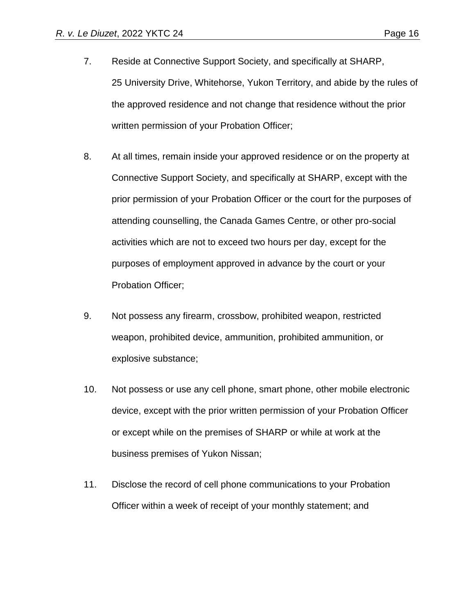- 7. Reside at Connective Support Society, and specifically at SHARP, 25 University Drive, Whitehorse, Yukon Territory, and abide by the rules of the approved residence and not change that residence without the prior written permission of your Probation Officer;
- 8. At all times, remain inside your approved residence or on the property at Connective Support Society, and specifically at SHARP, except with the prior permission of your Probation Officer or the court for the purposes of attending counselling, the Canada Games Centre, or other pro-social activities which are not to exceed two hours per day, except for the purposes of employment approved in advance by the court or your Probation Officer;
- 9. Not possess any firearm, crossbow, prohibited weapon, restricted weapon, prohibited device, ammunition, prohibited ammunition, or explosive substance;
- 10. Not possess or use any cell phone, smart phone, other mobile electronic device, except with the prior written permission of your Probation Officer or except while on the premises of SHARP or while at work at the business premises of Yukon Nissan;
- 11. Disclose the record of cell phone communications to your Probation Officer within a week of receipt of your monthly statement; and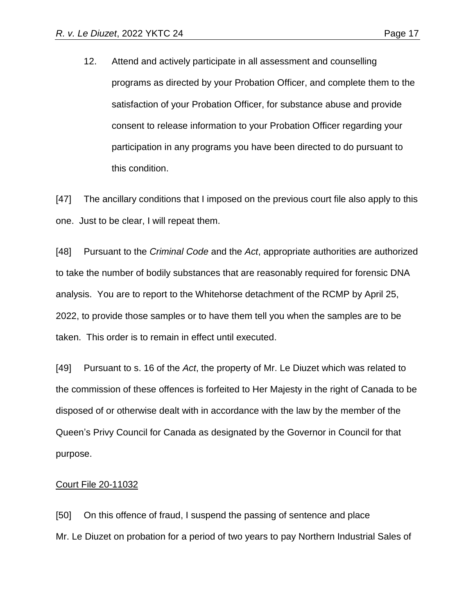12. Attend and actively participate in all assessment and counselling programs as directed by your Probation Officer, and complete them to the satisfaction of your Probation Officer, for substance abuse and provide consent to release information to your Probation Officer regarding your participation in any programs you have been directed to do pursuant to this condition.

[47] The ancillary conditions that I imposed on the previous court file also apply to this one. Just to be clear, I will repeat them.

[48] Pursuant to the *Criminal Code* and the *Act*, appropriate authorities are authorized to take the number of bodily substances that are reasonably required for forensic DNA analysis. You are to report to the Whitehorse detachment of the RCMP by April 25, 2022, to provide those samples or to have them tell you when the samples are to be taken. This order is to remain in effect until executed.

[49] Pursuant to s. 16 of the *Act*, the property of Mr. Le Diuzet which was related to the commission of these offences is forfeited to Her Majesty in the right of Canada to be disposed of or otherwise dealt with in accordance with the law by the member of the Queen's Privy Council for Canada as designated by the Governor in Council for that purpose.

#### Court File 20-11032

[50] On this offence of fraud, I suspend the passing of sentence and place Mr. Le Diuzet on probation for a period of two years to pay Northern Industrial Sales of